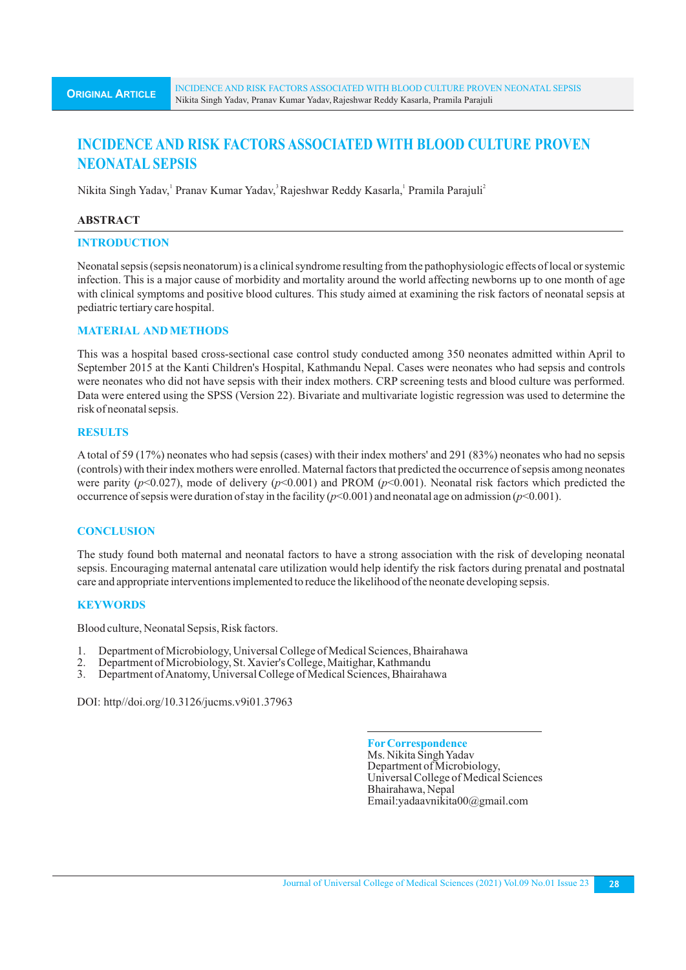# **INCIDENCE AND RISK FACTORS ASSOCIATED WITH BLOOD CULTURE PROVEN NEONATAL SEPSIS**

Nikita Singh Yadav, Pranav Kumar Yadav, Rajeshwar Reddy Kasarla, Pramila Parajuli<sup>2</sup>

#### **ABSTRACT**

# **INTRODUCTION**

Neonatal sepsis (sepsis neonatorum) is a clinical syndrome resulting from the pathophysiologic effects of local or systemic infection. This is a major cause of morbidity and mortality around the world affecting newborns up to one month of age with clinical symptoms and positive blood cultures. This study aimed at examining the risk factors of neonatal sepsis at pediatric tertiary care hospital.

# **MATERIAL AND METHODS**

This was a hospital based cross-sectional case control study conducted among 350 neonates admitted within April to September 2015 at the Kanti Children's Hospital, Kathmandu Nepal. Cases were neonates who had sepsis and controls were neonates who did not have sepsis with their index mothers. CRP screening tests and blood culture was performed. Data were entered using the SPSS (Version 22). Bivariate and multivariate logistic regression was used to determine the risk of neonatal sepsis.

# **RESULTS**

A total of 59 (17%) neonates who had sepsis (cases) with their index mothers' and 291 (83%) neonates who had no sepsis (controls) with their index mothers were enrolled. Maternal factors that predicted the occurrence of sepsis among neonates were parity (*p*<0.027), mode of delivery (*p*<0.001) and PROM (*p*<0.001). Neonatal risk factors which predicted the occurrence of sepsis were duration of stay in the facility  $(p<0.001)$  and neonatal age on admission  $(p<0.001)$ .

# **CONCLUSION**

The study found both maternal and neonatal factors to have a strong association with the risk of developing neonatal sepsis. Encouraging maternal antenatal care utilization would help identify the risk factors during prenatal and postnatal care and appropriate interventions implemented to reduce the likelihood of the neonate developing sepsis.

#### **KEYWORDS**

Blood culture, Neonatal Sepsis, Risk factors.

- 1. Department of Microbiology, Universal College of Medical Sciences, Bhairahawa<br>2. Department of Microbiology, St. Xavier's College, Maitighar, Kathmandu
- 2. Department of Microbiology, St. Xavier's College, Maitighar, Kathmandu
- 3. Department of Anatomy, Universal College of Medical Sciences, Bhairahawa

DOI: http//doi.org/10.3126/jucms.v9i01.37963

**ForCorrespondence** Ms. Nikita Singh Yadav Department of Microbiology, Universal College of Medical Sciences Bhairahawa, Nepal Email:yadaavnikita00@gmail.com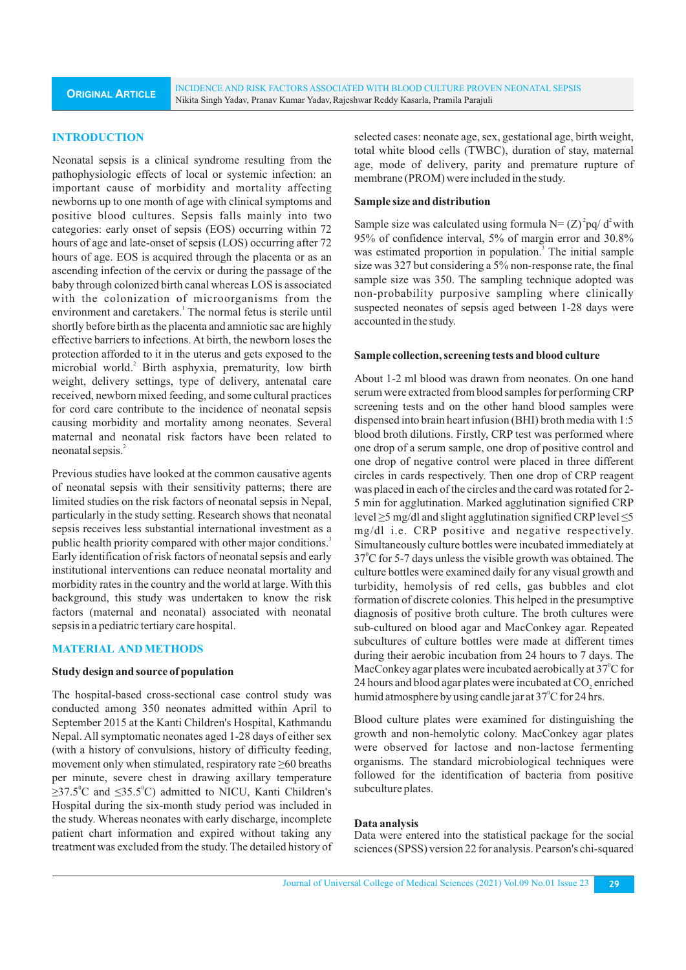**ORIGINAL ARTICLE** INCIDENCE AND RISK FACTORS ASSOCIATED WITH BLOOD CULTURE PROVEN NEONATAL SEPSIS Nikita Singh Yadav, Pranav Kumar Yadav,Rajeshwar Reddy Kasarla, Pramila Parajuli

# **INTRODUCTION**

Neonatal sepsis is a clinical syndrome resulting from the pathophysiologic effects of local or systemic infection: an important cause of morbidity and mortality affecting newborns up to one month of age with clinical symptoms and positive blood cultures. Sepsis falls mainly into two categories: early onset of sepsis (EOS) occurring within 72 hours of age and late-onset of sepsis (LOS) occurring after 72 hours of age. EOS is acquired through the placenta or as an ascending infection of the cervix or during the passage of the baby through colonized birth canal whereas LOS is associated with the colonization of microorganisms from the environment and caretakers.<sup>1</sup> The normal fetus is sterile until shortly before birth as the placenta and amniotic sac are highly effective barriers to infections. At birth, the newborn loses the protection afforded to it in the uterus and gets exposed to the microbial world.<sup>2</sup> Birth asphyxia, prematurity, low birth weight, delivery settings, type of delivery, antenatal care received, newborn mixed feeding, and some cultural practices for cord care contribute to the incidence of neonatal sepsis causing morbidity and mortality among neonates. Several maternal and neonatal risk factors have been related to neonatal sepsis.<sup>2</sup>

Previous studies have looked at the common causative agents of neonatal sepsis with their sensitivity patterns; there are limited studies on the risk factors of neonatal sepsis in Nepal, particularly in the study setting. Research shows that neonatal sepsis receives less substantial international investment as a public health priority compared with other major conditions.<sup>3</sup> Early identification of risk factors of neonatal sepsis and early institutional interventions can reduce neonatal mortality and morbidity rates in the country and the world at large. With this background, this study was undertaken to know the risk factors (maternal and neonatal) associated with neonatal sepsis in a pediatric tertiary care hospital.

# **MATERIAL AND METHODS**

#### **Study design and source of population**

The hospital-based cross-sectional case control study was conducted among 350 neonates admitted within April to September 2015 at the Kanti Children's Hospital, Kathmandu Nepal. All symptomatic neonates aged 1-28 days of either sex (with a history of convulsions, history of difficulty feeding, movement only when stimulated, respiratory rate ≥60 breaths per minute, severe chest in drawing axillary temperature  $\geq$ 37.5 °C and ≤35.5 °C) admitted to NICU, Kanti Children's Hospital during the six-month study period was included in the study. Whereas neonates with early discharge, incomplete patient chart information and expired without taking any treatment was excluded from the study. The detailed history of selected cases: neonate age, sex, gestational age, birth weight, total white blood cells (TWBC), duration of stay, maternal age, mode of delivery, parity and premature rupture of membrane (PROM) were included in the study.

#### **Sample size and distribution**

Sample size was calculated using formula  $N = (Z)^2 pq/d^2$  with 95% of confidence interval, 5% of margin error and 30.8% was estimated proportion in population.<sup>3</sup> The initial sample size was 327 but considering a 5% non-response rate, the final sample size was 350. The sampling technique adopted was non-probability purposive sampling where clinically suspected neonates of sepsis aged between 1-28 days were accounted in the study.

#### **Sample collection, screening tests and blood culture**

About 1-2 ml blood was drawn from neonates. On one hand serum were extracted from blood samples for performing CRP screening tests and on the other hand blood samples were dispensed into brain heart infusion (BHI) broth media with 1:5 blood broth dilutions. Firstly, CRP test was performed where one drop of a serum sample, one drop of positive control and one drop of negative control were placed in three different circles in cards respectively. Then one drop of CRP reagent was placed in each of the circles and the card was rotated for 2- 5 min for agglutination. Marked agglutination signified CRP level ≥5 mg/dl and slight agglutination signified CRPlevel ≤5 mg/dl i.e. CRP positive and negative respectively. Simultaneously culture bottles were incubated immediately at 37°C for 5-7 days unless the visible growth was obtained. The culture bottles were examined daily for any visual growth and turbidity, hemolysis of red cells, gas bubbles and clot formation of discrete colonies. This helped in the presumptive diagnosis of positive broth culture. The broth cultures were sub-cultured on blood agar and MacConkey agar. Repeated subcultures of culture bottles were made at different times during their aerobic incubation from 24 hours to 7 days. The MacConkey agar plates were incubated aerobically at  $37^{\circ}$ C for 24 hours and blood agar plates were incubated at CO<sub>2</sub> enriched humid atmosphere by using candle jar at 37°C for 24 hrs.

Blood culture plates were examined for distinguishing the growth and non-hemolytic colony. MacConkey agar plates were observed for lactose and non-lactose fermenting organisms. The standard microbiological techniques were followed for the identification of bacteria from positive subculture plates.

#### **Data analysis**

Data were entered into the statistical package for the social sciences (SPSS) version 22 for analysis. Pearson's chi-squared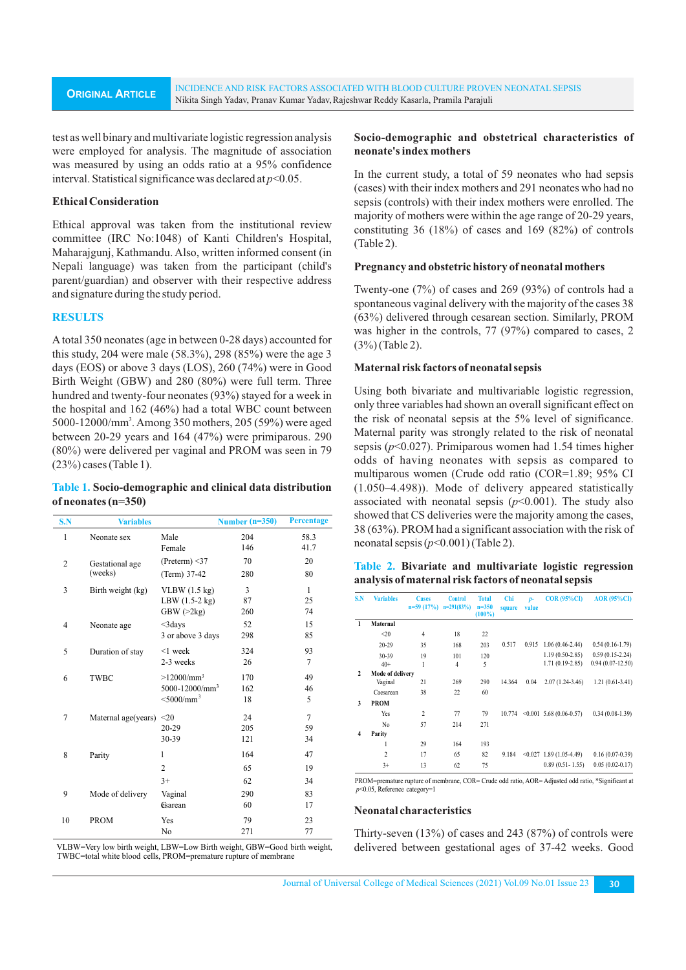test as well binary and multivariate logistic regression analysis were employed for analysis. The magnitude of association was measured by using an odds ratio at a 95% confidence interval. Statistical significance was declared at *p*<0.05.

## **Ethical Consideration**

Ethical approval was taken from the institutional review committee (IRC No:1048) of Kanti Children's Hospital, Maharajgunj, Kathmandu. Also, written informed consent (in Nepali language) was taken from the participant (child's parent/guardian) and observer with their respective address and signature during the study period.

#### **RESULTS**

Atotal 350 neonates (age in between 0-28 days) accounted for this study, 204 were male (58.3%), 298 (85%) were the age 3 days (EOS) or above 3 days (LOS), 260 (74%) were in Good Birth Weight (GBW) and 280 (80%) were full term. Three hundred and twenty-four neonates (93%) stayed for a week in the hospital and 162 (46%) had a total WBC count between 5000-12000/mm<sup>3</sup>. Among 350 mothers, 205 (59%) were aged between 20-29 years and 164 (47%) were primiparous. 290 (80%) were delivered per vaginal and PROM was seen in 79 (23%) cases (Table 1).

## **Table 1. Socio-demographic and clinical data distribution of neonates (n=350)**

| S.N            | <b>Variables</b>              |                          | Number $(n=350)$ | <b>Percentage</b> |
|----------------|-------------------------------|--------------------------|------------------|-------------------|
| 1              | Neonate sex                   | Male                     | 204              | 58.3              |
|                |                               | Female                   | 146              | 41.7              |
| $\overline{c}$ | Gestational age               | (Preterm) $\leq$ 37      | 70               | 20                |
|                | (weeks)                       | (Term) 37-42             | 280              | 80                |
| 3              | Birth weight (kg)             | VLBW(1.5 kg)             | 3                | $\mathbf{1}$      |
|                |                               | LBW (1.5-2 kg)           | 87               | 25                |
|                |                               | GBW(>2kg)                | 260              | 74                |
| 4              | Neonate age                   | $<3$ days                | 52               | 15                |
|                |                               | 3 or above 3 days        | 298              | 85                |
| 5              | Duration of stay              | $<$ 1 week               | 324              | 93                |
|                |                               | 2-3 weeks                | 26               | $\overline{7}$    |
| 6              | <b>TWBC</b>                   | $>12000/mm^3$            | 170              | 49                |
|                |                               | $5000 - 12000/mm^3$      | 162              | 46                |
|                |                               | $<$ 5000/mm <sup>3</sup> | 18               | 5                 |
| $\overline{7}$ | Maternal age(years) $\leq 20$ |                          | 24               | $\overline{7}$    |
|                |                               | $20 - 29$                | 205              | 59                |
|                |                               | 30-39                    | 121              | 34                |
| 8              | Parity                        | 1                        | 164              | 47                |
|                |                               | $\overline{2}$           | 65               | 19                |
|                |                               | $3+$                     | 62               | 34                |
| 9              | Mode of delivery              | Vaginal                  | 290              | 83                |
|                |                               | <b>Esarean</b>           | 60               | 17                |
| 10             | <b>PROM</b>                   | Yes                      | 79               | 23                |
|                |                               | No                       | 271              | 77                |

VLBW=Very low birth weight, LBW=Low Birth weight, GBW=Good birth weight, TWBC=total white blood cells, PROM=premature rupture of membrane

## **Socio-demographic and obstetrical characteristics of neonate's index mothers**

In the current study, a total of 59 neonates who had sepsis (cases) with their index mothers and 291 neonates who had no sepsis (controls) with their index mothers were enrolled. The majority of mothers were within the age range of 20-29 years, constituting 36 (18%) of cases and 169 (82%) of controls (Table 2).

#### **Pregnancy and obstetric history of neonatal mothers**

Twenty-one (7%) of cases and 269 (93%) of controls had a spontaneous vaginal delivery with the majority of the cases 38 (63%) delivered through cesarean section. Similarly, PROM was higher in the controls, 77 (97%) compared to cases, 2 (3%) (Table 2).

#### **Maternal risk factors of neonatal sepsis**

Using both bivariate and multivariable logistic regression, only three variables had shown an overall significant effect on the risk of neonatal sepsis at the 5% level of significance. Maternal parity was strongly related to the risk of neonatal sepsis (*p*<0.027). Primiparous women had 1.54 times higher odds of having neonates with sepsis as compared to multiparous women (Crude odd ratio (COR=1.89; 95% CI (1.050–4.498)). Mode of delivery appeared statistically associated with neonatal sepsis  $(p<0.001)$ . The study also showed that CS deliveries were the majority among the cases, 38 (63%). PROM had a significant association with the risk of neonatal sepsis  $(p<0.001)$  (Table 2).

|  |  | Table 2. Bivariate and multivariate logistic regression |  |
|--|--|---------------------------------------------------------|--|
|  |  | analysis of maternal risk factors of neonatal sepsis    |  |

| S.N                     | <b>Variables</b> | <b>Cases</b><br>$n=59(17%)$ | <b>Control</b><br>$n=291(83%)$ | <b>Total</b><br>$n = 350$<br>$(100\%)$ | Chi<br>square | $D-$<br>value | $COR(95\%CI)$                     | <b>AOR</b> (95%CI)  |
|-------------------------|------------------|-----------------------------|--------------------------------|----------------------------------------|---------------|---------------|-----------------------------------|---------------------|
| $\mathbf{1}$            | Maternal         |                             |                                |                                        |               |               |                                   |                     |
|                         | $20$             | $\overline{4}$              | 18                             | 22                                     |               |               |                                   |                     |
|                         | 20-29            | 35                          | 168                            | 203                                    | 0.517         | 0.915         | $1.06(0.46-2.44)$                 | $0.54(0.16-1.79)$   |
|                         | $30-39$          | 19                          | 101                            | 120                                    |               |               | $1.19(0.50-2.85)$                 | $0.59(0.15-2.24)$   |
|                         | $40+$            | 1                           | $\overline{4}$                 | 5                                      |               |               | 1.71 (0.19-2.85)                  | $0.94(0.07-12.50)$  |
| $\mathbf{2}$            | Mode of delivery |                             |                                |                                        |               |               |                                   |                     |
|                         | Vaginal          | 21                          | 269                            | 290                                    | 14.364        | 0.04          | $2.07(1.24-3.46)$                 | $1.21(0.61-3.41)$   |
|                         | Caesarean        | 38                          | 22                             | 60                                     |               |               |                                   |                     |
| 3                       | <b>PROM</b>      |                             |                                |                                        |               |               |                                   |                     |
|                         | Yes              | $\overline{c}$              | 77                             | 79                                     |               |               | $10.774$ < 0.001 5.68 (0.06-0.57) | $0.34(0.08-1.39)$   |
|                         | N <sub>0</sub>   | 57                          | 214                            | 271                                    |               |               |                                   |                     |
| $\overline{\mathbf{4}}$ | Parity           |                             |                                |                                        |               |               |                                   |                     |
|                         | 1                | 29                          | 164                            | 193                                    |               |               |                                   |                     |
|                         | $\overline{c}$   | 17                          | 65                             | 82                                     | 9.184         |               | $< 0.027$ 1.89 (1.05-4.49)        | $0.16(0.07-0.39)$   |
|                         | $3+$             | 13                          | 62                             | 75                                     |               |               | $0.89(0.51 - 1.55)$               | $0.05(0.02 - 0.17)$ |

PROM=premature rupture of membrane, COR= Crude odd ratio, AOR= Adjusted odd ratio, \*Significant at *p*<0.05, Reference category=1

#### **Neonatal characteristics**

Thirty-seven (13%) of cases and 243 (87%) of controls were delivered between gestational ages of 37-42 weeks. Good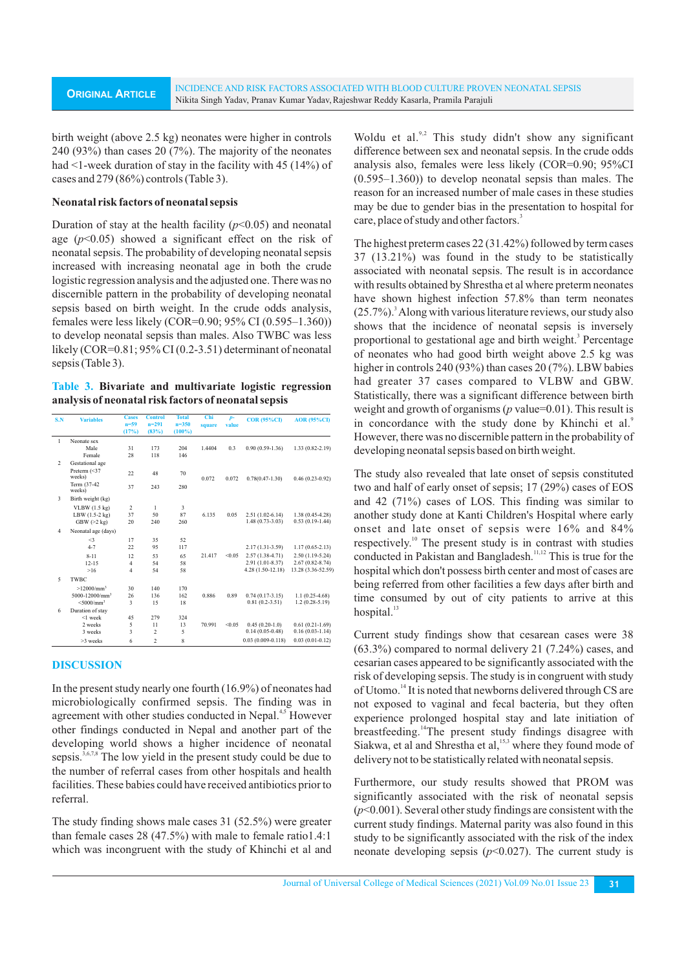birth weight (above 2.5 kg) neonates were higher in controls 240 (93%) than cases 20 (7%). The majority of the neonates had <1-week duration of stay in the facility with 45 (14%) of cases and 279 (86%) controls (Table 3).

# **Neonatal risk factors of neonatal sepsis**

Duration of stay at the health facility  $(p<0.05)$  and neonatal age  $(p<0.05)$  showed a significant effect on the risk of neonatal sepsis. The probability of developing neonatal sepsis increased with increasing neonatal age in both the crude logistic regression analysis and the adjusted one. There was no discernible pattern in the probability of developing neonatal sepsis based on birth weight. In the crude odds analysis, females were less likely (COR=0.90; 95% CI (0.595–1.360)) to develop neonatal sepsis than males. Also TWBC was less likely (COR=0.81; 95% CI (0.2-3.51) determinant of neonatal sepsis (Table 3).

## **Table 3. Bivariate and multivariate logistic regression analysis of neonatal risk factors of neonatal sepsis**

| S.N                     | <b>Variables</b>         | <b>Cases</b>            | <b>Control</b>          | <b>Total</b> | Chi    | $p-$   | <b>COR (95%CD)</b>    | <b>AOR (95%CD)</b>  |
|-------------------------|--------------------------|-------------------------|-------------------------|--------------|--------|--------|-----------------------|---------------------|
|                         |                          | $n = 59$                | $n = 291$               | $n = 350$    | square | value  |                       |                     |
|                         |                          | (17%)                   | (83%)                   | $(100\%)$    |        |        |                       |                     |
| 1                       | Neonate sex              |                         |                         |              |        |        |                       |                     |
|                         | Male                     | 31                      | 173                     | 204          | 1.4404 | 0.3    | $0.90(0.59-1.36)$     | 1.33 (0.82-2.19)    |
|                         | Female                   | 28                      | 118                     | 146          |        |        |                       |                     |
| $\overline{c}$          | Gestational age          |                         |                         |              |        |        |                       |                     |
|                         | Preterm (<37<br>weeks)   | 22                      | 48                      | 70           | 0.072  | 0.072  | $0.78(0.47 - 1.30)$   | $0.46(0.23-0.92)$   |
|                         | Term (37-42)<br>weeks)   | 37                      | 243                     | 280          |        |        |                       |                     |
| $\overline{\mathbf{3}}$ | Birth weight (kg)        |                         |                         |              |        |        |                       |                     |
|                         | $VLBW(1.5 \text{ kg})$   | $\overline{c}$          | 1                       | 3            |        |        |                       |                     |
|                         | LBW (1.5-2 kg)           | 37                      | 50                      | 87           | 6.135  | 0.05   | $2.51(1.02-6.14)$     | 1.38 (0.45-4.28)    |
|                         | GBW(>2 kg)               | 20                      | 240                     | 260          |        |        | $1.48(0.73 - 3.03)$   | $0.53(0.19-1.44)$   |
| $\overline{4}$          | Neonatal age (days)      |                         |                         |              |        |        |                       |                     |
|                         | $\triangleleft$          | 17                      | 35                      | 52           |        |        |                       |                     |
|                         | $4 - 7$                  | 22                      | 95                      | 117          |        |        | $2.17(1.31-3.59)$     | $1.17(0.65 - 2.13)$ |
|                         | $8 - 11$                 | 12                      | 53                      | 65           | 21.417 | < 0.05 | $2.57(1.38-4.71)$     | $2.50(1.19-5.24)$   |
|                         | $12 - 15$                | $\overline{4}$          | 54                      | 58           |        |        | 2.91 (1.01-8.37)      | $2.67(0.82 - 8.74)$ |
|                         | >16                      | $\overline{4}$          | 54                      | 58           |        |        | 4.28 (1.50-12.18)     | 13.28 (3.36-52.59)  |
| 5                       | TWBC                     |                         |                         |              |        |        |                       |                     |
|                         | $>12000/mm^3$            | 30                      | 140                     | 170          |        |        |                       |                     |
|                         | $5000 - 12000/mm3$       | 26                      | 136                     | 162          | 0.886  | 0.89   | $0.74(0.17-3.15)$     | $1.1(0.25-4.68)$    |
|                         | $<$ 5000/mm <sup>3</sup> | 3                       | 15                      | 18           |        |        | $0.81(0.2-3.51)$      | $1.2(0.28-5.19)$    |
| 6                       | Duration of stay         |                         |                         |              |        |        |                       |                     |
|                         | $<$ 1 week               | 45                      | 279                     | 324          |        |        |                       |                     |
|                         | 2 weeks                  | 5                       | 11                      | 13           | 70.991 | < 0.05 | $0.45(0.20-1.0)$      | $0.61(0.21-1.69)$   |
|                         | 3 weeks                  | $\overline{\mathbf{3}}$ | $\overline{\mathbf{c}}$ | 5            |        |        | $0.14(0.05 - 0.48)$   | $0.16(0.03-1.14)$   |
|                         | >3 weeks                 | 6                       | $\overline{c}$          | 8            |        |        | $0.03(0.009 - 0.118)$ | $0.03(0.01-0.12)$   |

# **DISCUSSION**

In the present study nearly one fourth (16.9%) of neonates had microbiologically confirmed sepsis. The finding was in agreement with other studies conducted in Nepal.<sup>4,5</sup> However other findings conducted in Nepal and another part of the developing world shows a higher incidence of neonatal sepsis.  $3,6,7,8$  The low yield in the present study could be due to the number of referral cases from other hospitals and health facilities. These babies could have received antibiotics prior to referral.

The study finding shows male cases 31 (52.5%) were greater than female cases 28 (47.5%) with male to female ratio1.4:1 which was incongruent with the study of Khinchi et al and

Woldu et al. $^{9,2}$  This study didn't show any significant difference between sex and neonatal sepsis. In the crude odds analysis also, females were less likely (COR=0.90; 95%CI (0.595–1.360)) to develop neonatal sepsis than males. The reason for an increased number of male cases in these studies may be due to gender bias in the presentation to hospital for care, place of study and other factors.<sup>3</sup>

The highest preterm cases 22 (31.42%) followed by term cases 37 (13.21%) was found in the study to be statistically associated with neonatal sepsis. The result is in accordance with results obtained by Shrestha et al where preterm neonates have shown highest infection 57.8% than term neonates (25.7%).<sup>3</sup> Along with various literature reviews, our study also shows that the incidence of neonatal sepsis is inversely proportional to gestational age and birth weight.<sup>3</sup> Percentage of neonates who had good birth weight above 2.5 kg was higher in controls 240 (93%) than cases 20 (7%). LBW babies had greater 37 cases compared to VLBW and GBW. Statistically, there was a significant difference between birth weight and growth of organisms (*p* value=0.01). This result is in concordance with the study done by Khinchi et al.<sup>9</sup> However, there was no discernible pattern in the probability of developing neonatal sepsis based on birth weight.

The study also revealed that late onset of sepsis constituted two and half of early onset of sepsis; 17 (29%) cases of EOS and 42 (71%) cases of LOS. This finding was similar to another study done at Kanti Children's Hospital where early onset and late onset of sepsis were 16% and 84% respectively.<sup>10</sup> The present study is in contrast with studies conducted in Pakistan and Bangladesh.<sup>11,12</sup> This is true for the hospital which don't possess birth center and most of cases are being referred from other facilities a few days after birth and time consumed by out of city patients to arrive at this hospital. $13$ 

Current study findings show that cesarean cases were 38 (63.3%) compared to normal delivery 21 (7.24%) cases, and cesarian cases appeared to be significantly associated with the risk of developing sepsis. The study is in congruent with study of Utomo.<sup>14</sup> It is noted that newborns delivered through CS are not exposed to vaginal and fecal bacteria, but they often experience prolonged hospital stay and late initiation of breastfeeding.<sup>14</sup>The present study findings disagree with Siakwa, et al and Shrestha et al, <sup>15,3</sup> where they found mode of delivery not to be statistically related with neonatal sepsis.

Furthermore, our study results showed that PROM was significantly associated with the risk of neonatal sepsis (*p*<0.001). Several other study findings are consistent with the current study findings. Maternal parity was also found in this study to be significantly associated with the risk of the index neonate developing sepsis  $(p<0.027)$ . The current study is